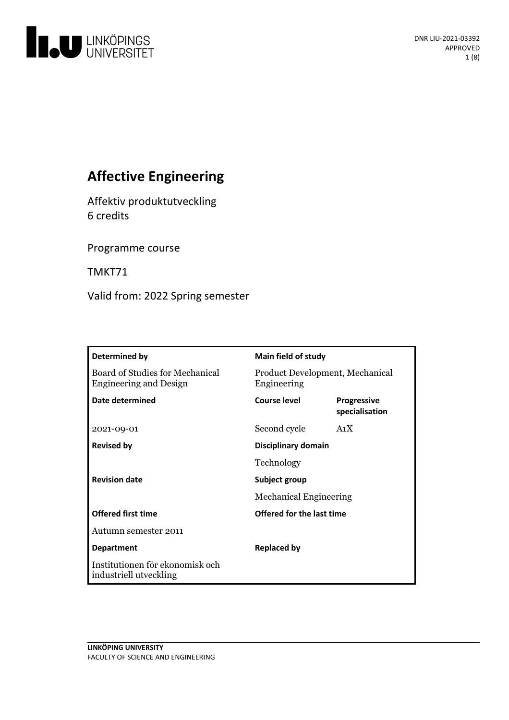

# **Affective Engineering**

Affektiv produktutveckling 6 credits

Programme course

TMKT71

Valid from: 2022 Spring semester

| Determined by                                                    | <b>Main field of study</b>                     |                                      |
|------------------------------------------------------------------|------------------------------------------------|--------------------------------------|
| Board of Studies for Mechanical<br><b>Engineering and Design</b> | Product Development, Mechanical<br>Engineering |                                      |
| Date determined                                                  | Course level                                   | <b>Progressive</b><br>specialisation |
| 2021-09-01                                                       | Second cycle                                   | A <sub>1</sub> X                     |
| <b>Revised by</b>                                                | Disciplinary domain                            |                                      |
|                                                                  | Technology                                     |                                      |
| <b>Revision date</b>                                             | Subject group                                  |                                      |
|                                                                  | <b>Mechanical Engineering</b>                  |                                      |
| <b>Offered first time</b>                                        | <b>Offered for the last time</b>               |                                      |
| Autumn semester 2011                                             |                                                |                                      |
| <b>Department</b>                                                | <b>Replaced by</b>                             |                                      |
| Institutionen för ekonomisk och<br>industriell utveckling        |                                                |                                      |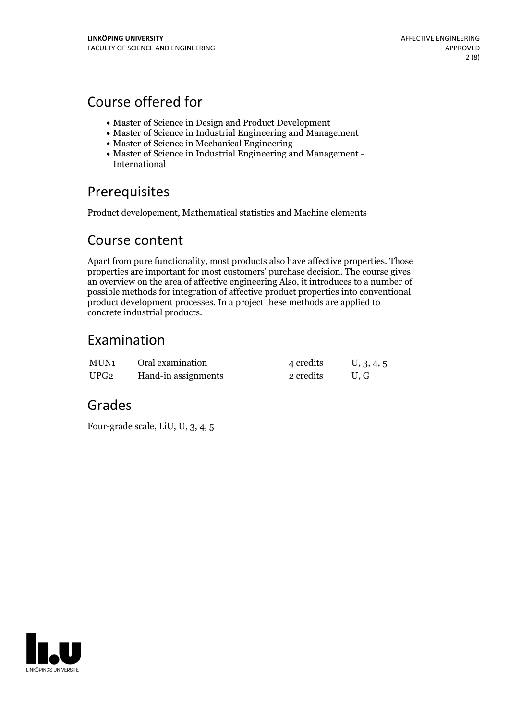# Course offered for

- Master of Science in Design and Product Development
- Master of Science in Industrial Engineering and Management
- Master of Science in Mechanical Engineering
- Master of Science in Industrial Engineering and Management International

# Prerequisites

Product developement, Mathematical statistics and Machine elements

## Course content

Apart from pure functionality, most products also have affective properties. Those properties are important for most customers' purchase decision. The course gives an overview on the area of affective engineering Also, it introduces to a number of possible methods for integration of affective product properties into conventional product development processes. In a project these methods are applied to concrete industrial products.

## Examination

| MUN1 | Oral examination    | 4 credits | U, 3, 4, 5 |
|------|---------------------|-----------|------------|
| UPG2 | Hand-in assignments | 2 credits | U.G        |

## Grades

Four-grade scale, LiU, U, 3, 4, 5

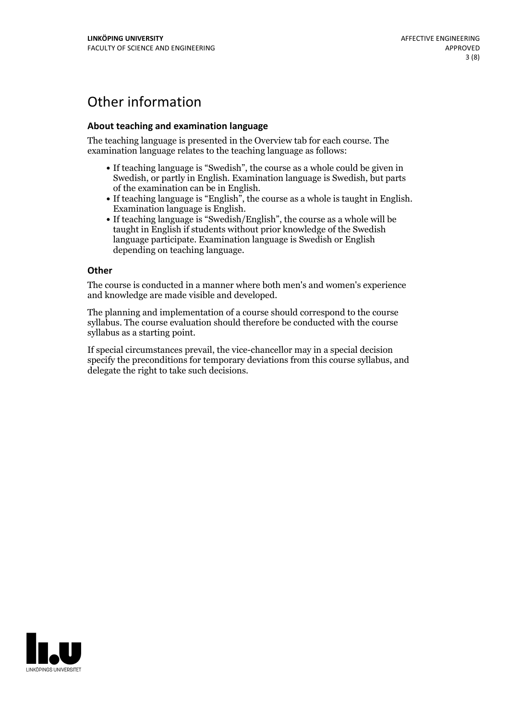# Other information

## **About teaching and examination language**

The teaching language is presented in the Overview tab for each course. The examination language relates to the teaching language as follows:

- If teaching language is "Swedish", the course as a whole could be given in Swedish, or partly in English. Examination language is Swedish, but parts
- of the examination can be in English. If teaching language is "English", the course as <sup>a</sup> whole is taught in English. Examination language is English. If teaching language is "Swedish/English", the course as <sup>a</sup> whole will be
- taught in English if students without prior knowledge of the Swedish language participate. Examination language is Swedish or English depending on teaching language.

#### **Other**

The course is conducted in a manner where both men's and women's experience and knowledge are made visible and developed.

The planning and implementation of a course should correspond to the course syllabus. The course evaluation should therefore be conducted with the course syllabus as a starting point.

If special circumstances prevail, the vice-chancellor may in a special decision specify the preconditions for temporary deviations from this course syllabus, and delegate the right to take such decisions.

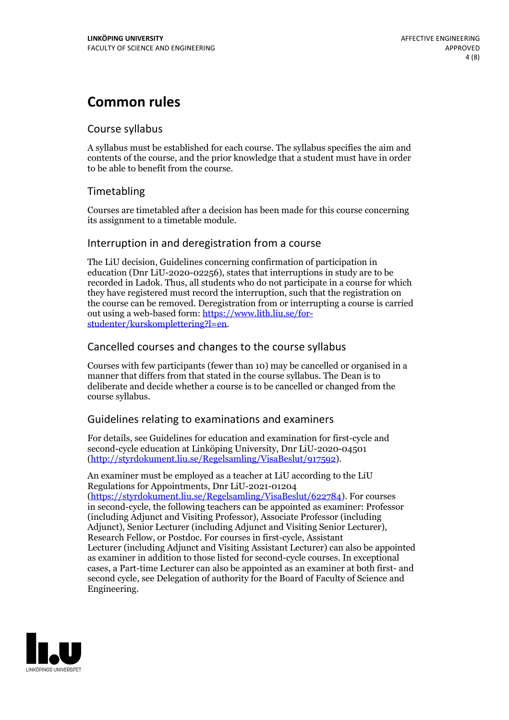# **Common rules**

## Course syllabus

A syllabus must be established for each course. The syllabus specifies the aim and contents of the course, and the prior knowledge that a student must have in order to be able to benefit from the course.

## Timetabling

Courses are timetabled after a decision has been made for this course concerning its assignment to a timetable module.

## Interruption in and deregistration from a course

The LiU decision, Guidelines concerning confirmation of participation in education (Dnr LiU-2020-02256), states that interruptions in study are to be recorded in Ladok. Thus, all students who do not participate in a course for which they have registered must record the interruption, such that the registration on the course can be removed. Deregistration from or interrupting a course is carried out using <sup>a</sup> web-based form: https://www.lith.liu.se/for- [studenter/kurskomplettering?l=en.](https://www.lith.liu.se/for-studenter/kurskomplettering?l=en)

## Cancelled courses and changes to the course syllabus

Courses with few participants (fewer than 10) may be cancelled or organised in a manner that differs from that stated in the course syllabus. The Dean is to deliberate and decide whether a course is to be cancelled or changed from the course syllabus.

## Guidelines relating to examinations and examiners

For details, see Guidelines for education and examination for first-cycle and second-cycle education at Linköping University, Dnr LiU-2020-04501 [\(http://styrdokument.liu.se/Regelsamling/VisaBeslut/917592\)](http://styrdokument.liu.se/Regelsamling/VisaBeslut/917592).

An examiner must be employed as a teacher at LiU according to the LiU Regulations for Appointments, Dnr LiU-2021-01204 [\(https://styrdokument.liu.se/Regelsamling/VisaBeslut/622784](https://styrdokument.liu.se/Regelsamling/VisaBeslut/622784)). For courses in second-cycle, the following teachers can be appointed as examiner: Professor (including Adjunct and Visiting Professor), Associate Professor (including Adjunct), Senior Lecturer (including Adjunct and Visiting Senior Lecturer), Research Fellow, or Postdoc. For courses in first-cycle, Assistant Lecturer (including Adjunct and Visiting Assistant Lecturer) can also be appointed as examiner in addition to those listed for second-cycle courses. In exceptional cases, a Part-time Lecturer can also be appointed as an examiner at both first- and second cycle, see Delegation of authority for the Board of Faculty of Science and Engineering.

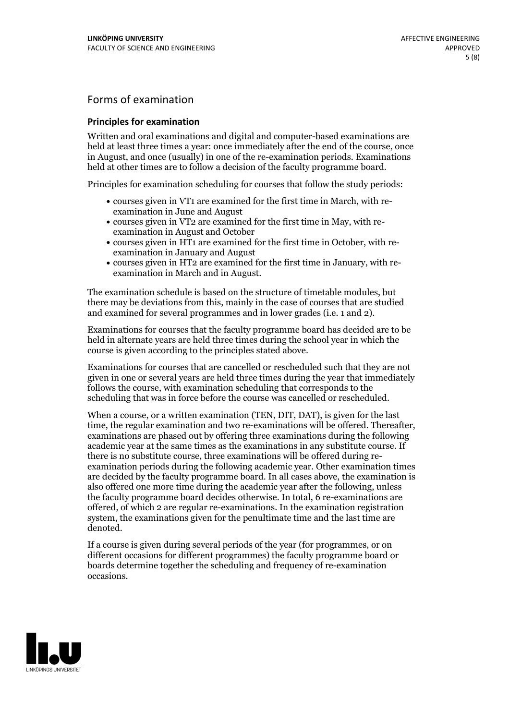## Forms of examination

### **Principles for examination**

Written and oral examinations and digital and computer-based examinations are held at least three times a year: once immediately after the end of the course, once in August, and once (usually) in one of the re-examination periods. Examinations held at other times are to follow a decision of the faculty programme board.

Principles for examination scheduling for courses that follow the study periods:

- courses given in VT1 are examined for the first time in March, with re-examination in June and August
- courses given in VT2 are examined for the first time in May, with re-examination in August and October
- courses given in HT1 are examined for the first time in October, with re-examination in January and August
- courses given in HT2 are examined for the first time in January, with re-examination in March and in August.

The examination schedule is based on the structure of timetable modules, but there may be deviations from this, mainly in the case of courses that are studied and examined for several programmes and in lower grades (i.e. 1 and 2).

Examinations for courses that the faculty programme board has decided are to be held in alternate years are held three times during the school year in which the course is given according to the principles stated above.

Examinations for courses that are cancelled orrescheduled such that they are not given in one or several years are held three times during the year that immediately follows the course, with examination scheduling that corresponds to the scheduling that was in force before the course was cancelled or rescheduled.

When a course, or a written examination (TEN, DIT, DAT), is given for the last time, the regular examination and two re-examinations will be offered. Thereafter, examinations are phased out by offering three examinations during the following academic year at the same times as the examinations in any substitute course. If there is no substitute course, three examinations will be offered during re- examination periods during the following academic year. Other examination times are decided by the faculty programme board. In all cases above, the examination is also offered one more time during the academic year after the following, unless the faculty programme board decides otherwise. In total, 6 re-examinations are offered, of which 2 are regular re-examinations. In the examination registration system, the examinations given for the penultimate time and the last time are denoted.

If a course is given during several periods of the year (for programmes, or on different occasions for different programmes) the faculty programme board or boards determine together the scheduling and frequency of re-examination occasions.

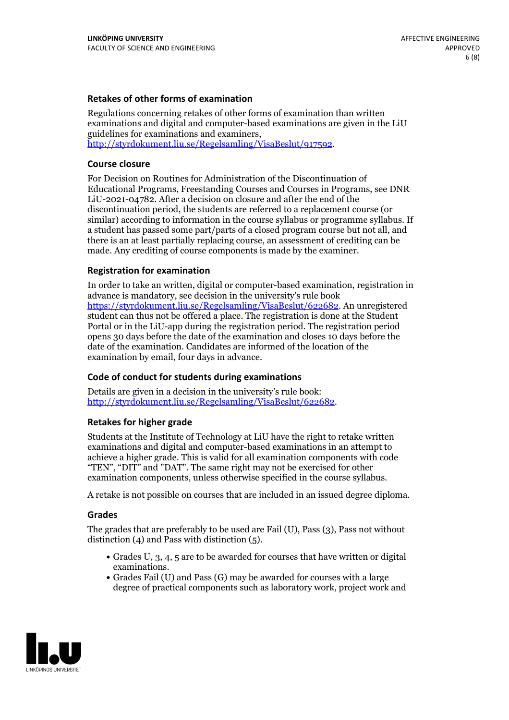### **Retakes of other forms of examination**

Regulations concerning retakes of other forms of examination than written examinations and digital and computer-based examinations are given in the LiU guidelines for examinations and examiners, [http://styrdokument.liu.se/Regelsamling/VisaBeslut/917592.](http://styrdokument.liu.se/Regelsamling/VisaBeslut/917592)

#### **Course closure**

For Decision on Routines for Administration of the Discontinuation of Educational Programs, Freestanding Courses and Courses in Programs, see DNR LiU-2021-04782. After a decision on closure and after the end of the discontinuation period, the students are referred to a replacement course (or similar) according to information in the course syllabus or programme syllabus. If a student has passed some part/parts of a closed program course but not all, and there is an at least partially replacing course, an assessment of crediting can be made. Any crediting of course components is made by the examiner.

#### **Registration for examination**

In order to take an written, digital or computer-based examination, registration in advance is mandatory, see decision in the university's rule book [https://styrdokument.liu.se/Regelsamling/VisaBeslut/622682.](https://styrdokument.liu.se/Regelsamling/VisaBeslut/622682) An unregistered student can thus not be offered a place. The registration is done at the Student Portal or in the LiU-app during the registration period. The registration period opens 30 days before the date of the examination and closes 10 days before the date of the examination. Candidates are informed of the location of the examination by email, four days in advance.

#### **Code of conduct for students during examinations**

Details are given in a decision in the university's rule book: <http://styrdokument.liu.se/Regelsamling/VisaBeslut/622682>.

#### **Retakes for higher grade**

Students at the Institute of Technology at LiU have the right to retake written examinations and digital and computer-based examinations in an attempt to achieve a higher grade. This is valid for all examination components with code "TEN", "DIT" and "DAT". The same right may not be exercised for other examination components, unless otherwise specified in the course syllabus.

A retake is not possible on courses that are included in an issued degree diploma.

#### **Grades**

The grades that are preferably to be used are Fail (U), Pass (3), Pass not without distinction  $(4)$  and Pass with distinction  $(5)$ .

- Grades U, 3, 4, 5 are to be awarded for courses that have written or digital examinations.<br>• Grades Fail (U) and Pass (G) may be awarded for courses with a large
- degree of practical components such as laboratory work, project work and

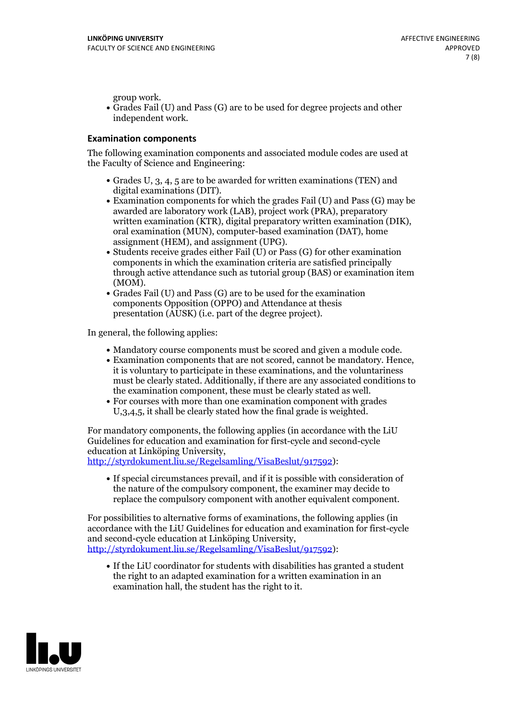group work.<br>• Grades Fail (U) and Pass (G) are to be used for degree projects and other independent work.

## **Examination components**

The following examination components and associated module codes are used at the Faculty of Science and Engineering:

- Grades U, 3, 4, 5 are to be awarded for written examinations (TEN) and
- digital examinations (DIT).<br>• Examination components for which the grades Fail (U) and Pass (G) may be awarded are laboratory work (LAB), project work (PRA), preparatory written examination (KTR), digital preparatory written examination (DIK), oral examination (MUN), computer-based examination (DAT), home
- assignment (HEM), and assignment (UPG).<br>• Students receive grades either Fail (U) or Pass (G) for other examination components in which the examination criteria are satisfied principally through active attendance such as tutorial group (BAS) or examination item
- (MOM).<br>• Grades Fail (U) and Pass (G) are to be used for the examination components Opposition (OPPO) and Attendance at thesis presentation (AUSK) (i.e. part of the degree project).

In general, the following applies:

- 
- Mandatory course components must be scored and given <sup>a</sup> module code. Examination components that are not scored, cannot be mandatory. Hence, it is voluntary to participate in these examinations, and the voluntariness must be clearly stated. Additionally, if there are any associated conditions to
- the examination component, these must be clearly stated as well.<br>• For courses with more than one examination component with grades U,3,4,5, it shall be clearly stated how the final grade is weighted.

For mandatory components, the following applies (in accordance with the LiU Guidelines for education and examination for first-cycle and second-cycle education at Linköping University,<br>[http://styrdokument.liu.se/Regelsamling/VisaBeslut/917592\)](http://styrdokument.liu.se/Regelsamling/VisaBeslut/917592):

If special circumstances prevail, and if it is possible with consideration of the nature of the compulsory component, the examiner may decide to replace the compulsory component with another equivalent component.

For possibilities to alternative forms of examinations, the following applies (in accordance with the LiU Guidelines for education and examination for first-cycle [http://styrdokument.liu.se/Regelsamling/VisaBeslut/917592\)](http://styrdokument.liu.se/Regelsamling/VisaBeslut/917592):

If the LiU coordinator for students with disabilities has granted a student the right to an adapted examination for a written examination in an examination hall, the student has the right to it.